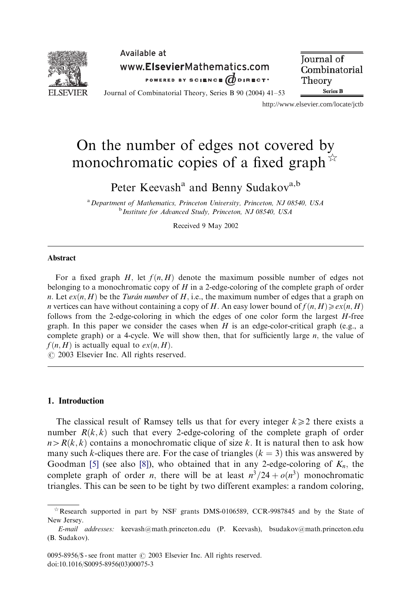

Available at www.ElsevierMathematics.com POWERED BY SCIENCE ODIRECT<sup>\*</sup>

**Journal** of Combinatorial Theory **Series B** 

Journal of Combinatorial Theory, Series B 90 (2004) 41–53

http://www.elsevier.com/locate/jctb

# On the number of edges not covered by monochromatic copies of a fixed graph  $\mathbb{R}$

Peter Keevash<sup>a</sup> and Benny Sudakov<sup>a,b</sup>

<sup>a</sup> Department of Mathematics, Princeton University, Princeton, NJ 08540, USA b Institute for Advanced Study, Princeton, NJ 08540, USA

Received 9 May 2002

#### Abstract

For a fixed graph H; let  $f(n, H)$  denote the maximum possible number of edges not belonging to a monochromatic copy of  $H$  in a 2-edge-coloring of the complete graph of order n. Let  $ex(n, H)$  be the Turan number of H, i.e., the maximum number of edges that a graph on *n* vertices can have without containing a copy of H. An easy lower bound of  $f(n, H) \geq e^{x(n, H)}$ follows from the 2-edge-coloring in which the edges of one color form the largest  $H$ -free graph. In this paper we consider the cases when  $H$  is an edge-color-critical graph (e.g., a complete graph) or a 4-cycle. We will show then, that for sufficiently large  $n$ , the value of  $f(n, H)$  is actually equal to  $ex(n, H)$ .

 $\odot$  2003 Elsevier Inc. All rights reserved.

#### 1. Introduction

The classical result of Ramsey tells us that for every integer  $k \geq 2$  there exists a number  $R(k, k)$  such that every 2-edge-coloring of the complete graph of order  $n > R(k, k)$  contains a monochromatic clique of size k. It is natural then to ask how many such k-cliques there are. For the case of triangles  $(k = 3)$  this was answered by Goodman [\[5\]](#page-12-0) (see also [\[8\]\)](#page-12-0), who obtained that in any 2-edge-coloring of  $K_n$ , the complete graph of order *n*, there will be at least  $n^3/24 + o(n^3)$  monochromatic triangles. This can be seen to be tight by two different examples: a random coloring,

 $*$  Research supported in part by NSF grants DMS-0106589, CCR-9987845 and by the State of New Jersey.

E-mail addresses: keevash@math.princeton.edu (P. Keevash), bsudakov@math.princeton.edu (B. Sudakov).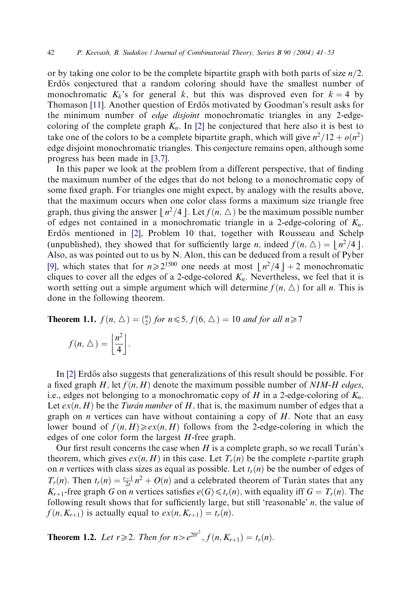or by taking one color to be the complete bipartite graph with both parts of size  $n/2$ . Erdős conjectured that a random coloring should have the smallest number of monochromatic  $K_k$ 's for general k, but this was disproved even for  $k = 4$  by Thomason [\[11\].](#page-12-0) Another question of Erdős motivated by Goodman's result asks for the minimum number of edge disjoint monochromatic triangles in any 2-edgecoloring of the complete graph  $K_n$ . In [\[2\]](#page-12-0) he conjectured that here also it is best to take one of the colors to be a complete bipartite graph, which will give  $n^2/12 + o(n^2)$ edge disjoint monochromatic triangles. This conjecture remains open, although some progress has been made in [\[3,7\].](#page-12-0)

In this paper we look at the problem from a different perspective, that of finding the maximum number of the edges that do not belong to a monochromatic copy of some fixed graph. For triangles one might expect, by analogy with the results above, that the maximum occurs when one color class forms a maximum size triangle free graph, thus giving the answer  $|n^2/4|$ . Let  $f(n, \triangle)$  be the maximum possible number of edges not contained in a monochromatic triangle in a 2-edge-coloring of  $K_n$ . Erdős mentioned in [\[2\],](#page-12-0) Problem 10 that, together with Rousseau and Schelp (unpublished), they showed that for sufficiently large *n*, indeed  $f(n, \triangle) = |n^2/4|$ . Also, as was pointed out to us by N. Alon, this can be deduced from a result of Pyber [\[9\]](#page-12-0), which states that for  $n\geq 2^{1500}$  one needs at most  $\lfloor n^2/4 \rfloor + 2$  monochromatic cliques to cover all the edges of a 2-edge-colored  $K_n$ . Nevertheless, we feel that it is worth setting out a simple argument which will determine  $f(n, \triangle)$  for all n. This is done in the following theorem.

**Theorem 1.1.**  $f(n, \Delta) = {n \choose 2}$  for  $n \le 5$ ,  $f(6, \Delta) = 10$  and for all  $n \ge 7$ 

$$
f(n, \triangle) = \left\lfloor \frac{n^2}{4} \right\rfloor.
$$

In  $[2]$  Erdős also suggests that generalizations of this result should be possible. For a fixed graph H, let  $f(n, H)$  denote the maximum possible number of NIM-H edges, i.e., edges not belonging to a monochromatic copy of H in a 2-edge-coloring of  $K_n$ . Let  $ex(n, H)$  be the Tura'n number of H, that is, the maximum number of edges that a graph on  $n$  vertices can have without containing a copy of  $H$ . Note that an easy lower bound of  $f(n, H) \geqslant e^{x(n, H)}$  follows from the 2-edge-coloring in which the edges of one color form the largest H-free graph.

Our first result concerns the case when  $H$  is a complete graph, so we recall Turán's theorem, which gives  $ex(n, H)$  in this case. Let  $T_r(n)$  be the complete r-partite graph on *n* vertices with class sizes as equal as possible. Let  $t_r(n)$  be the number of edges of  $T_r(n)$ . Then  $t_r(n) = \frac{r-1}{2r}n^2 + O(n)$  and a celebrated theorem of Turán states that any  $K_{r+1}$ -free graph G on *n* vertices satisfies  $e(G) \leq t_r(n)$ , with equality iff  $G = T_r(n)$ . The following result shows that for sufficiently large, but still 'reasonable'  $n$ , the value of  $f(n, K_{r+1})$  is actually equal to  $ex(n, K_{r+1}) = t_r(n)$ .

**Theorem 1.2.** Let  $r \ge 2$ . Then for  $n > e^{20r^2}$ ,  $f(n, K_{r+1}) = t_r(n)$ .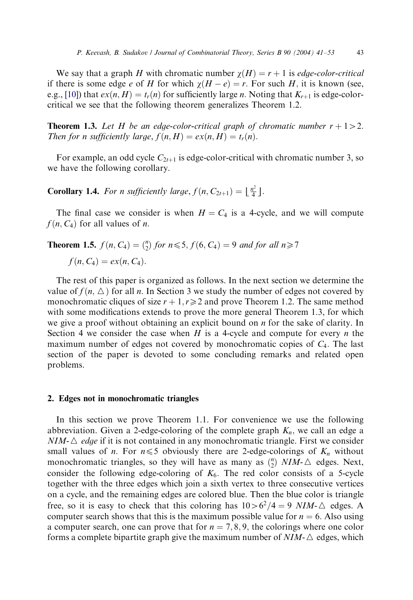We say that a graph H with chromatic number  $\gamma(H) = r + 1$  is *edge-color-critical* if there is some edge e of H for which  $\chi(H - e) = r$ . For such H, it is known (see, e.g., [\[10\]](#page-12-0)) that  $ex(n, H) = t<sub>r</sub>(n)$  for sufficiently large n. Noting that  $K<sub>r+1</sub>$  is edge-colorcritical we see that the following theorem generalizes Theorem 1.2.

**Theorem 1.3.** Let H be an edge-color-critical graph of chromatic number  $r + 1 > 2$ . Then for n sufficiently large,  $f(n, H) = ex(n, H) = t<sub>r</sub>(n)$ .

For example, an odd cycle  $C_{2t+1}$  is edge-color-critical with chromatic number 3, so we have the following corollary.

**Corollary 1.4.** For *n* sufficiently large,  $f(n, C_{2t+1}) = \lfloor \frac{n^2}{4} \rfloor$ .

The final case we consider is when  $H = C_4$  is a 4-cycle, and we will compute  $f(n, C_4)$  for all values of *n*.

**Theorem 1.5.** 
$$
f(n, C_4) = {n \choose 2}
$$
 for  $n \le 5$ ,  $f(6, C_4) = 9$  and for all  $n \ge 7$   
 $f(n, C_4) = ex(n, C_4)$ .

The rest of this paper is organized as follows. In the next section we determine the value of  $f(n, \triangle)$  for all n. In Section 3 we study the number of edges not covered by monochromatic cliques of size  $r + 1, r \ge 2$  and prove Theorem 1.2. The same method with some modifications extends to prove the more general Theorem 1.3, for which we give a proof without obtaining an explicit bound on n for the sake of clarity. In Section 4 we consider the case when  $H$  is a 4-cycle and compute for every  $n$  the maximum number of edges not covered by monochromatic copies of  $C_4$ . The last section of the paper is devoted to some concluding remarks and related open problems.

#### 2. Edges not in monochromatic triangles

In this section we prove Theorem 1.1. For convenience we use the following abbreviation. Given a 2-edge-coloring of the complete graph  $K_n$ , we call an edge a  $NIM-\triangle$  *edge* if it is not contained in any monochromatic triangle. First we consider small values of *n*. For  $n \le 5$  obviously there are 2-edge-colorings of  $K_n$  without monochromatic triangles, so they will have as many as  $\binom{n}{2}$  NIM- $\triangle$  edges. Next, consider the following edge-coloring of  $K_6$ . The red color consists of a 5-cycle together with the three edges which join a sixth vertex to three consecutive vertices on a cycle, and the remaining edges are colored blue. Then the blue color is triangle free, so it is easy to check that this coloring has  $10>6^2/4=9$  NIM- $\triangle$  edges. A computer search shows that this is the maximum possible value for  $n = 6$ . Also using a computer search, one can prove that for  $n = 7, 8, 9$ , the colorings where one color forms a complete bipartite graph give the maximum number of  $NIM - \triangle$  edges, which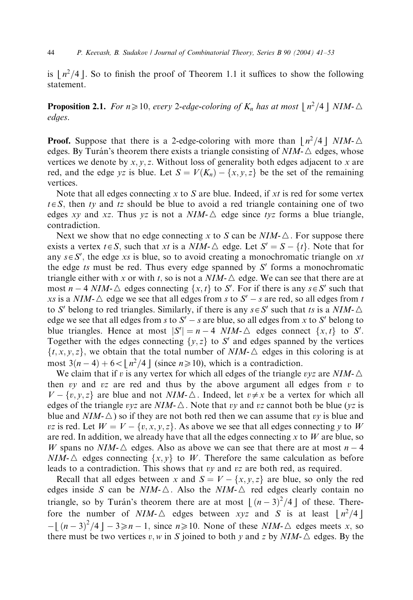is  $\lfloor n^2/4 \rfloor$ . So to finish the proof of Theorem 1.1 it suffices to show the following statement.

**Proposition 2.1.** For  $n \ge 10$ , every 2-edge-coloring of  $K_n$  has at most  $\lfloor n^2/4 \rfloor$  NIM- $\triangle$ edges.

**Proof.** Suppose that there is a 2-edge-coloring with more than  $\lfloor n^2/4 \rfloor$  NIM- $\triangle$ edges. By Turán's theorem there exists a triangle consisting of  $NIM-\Delta$  edges, whose vertices we denote by x, y, z. Without loss of generality both edges adjacent to x are red, and the edge yz is blue. Let  $S = V(K_n) - \{x, y, z\}$  be the set of the remaining vertices.

Note that all edges connecting x to S are blue. Indeed, if xt is red for some vertex  $t \in S$ , then ty and tz should be blue to avoid a red triangle containing one of two edges xy and xz. Thus yz is not a  $NIM-\Delta$  edge since tyz forms a blue triangle, contradiction.

Next we show that no edge connecting x to S can be  $NIM-\triangle$ . For suppose there exists a vertex  $t \in S$ , such that xt is a NIM- $\triangle$  edge. Let  $S' = S - \{t\}$ . Note that for any  $s \in S'$ , the edge xs is blue, so to avoid creating a monochromatic triangle on xt the edge ts must be red. Thus every edge spanned by  $S'$  forms a monochromatic triangle either with x or with t, so is not a  $NIM - \triangle$  edge. We can see that there are at most  $n-4$  NIM- $\triangle$  edges connecting  $\{x, t\}$  to S'. For if there is any  $s \in S'$  such that xs is a NIM- $\triangle$  edge we see that all edges from s to  $S' - s$  are red, so all edges from t to S' belong to red triangles. Similarly, if there is any  $s \in S'$  such that ts is a NIM- $\triangle$ edge we see that all edges from s to  $S' - s$  are blue, so all edges from x to S' belong to blue triangles. Hence at most  $|S'| = n - 4$  NIM- $\triangle$  edges connect  $\{x, t\}$  to S'. Together with the edges connecting  $\{y, z\}$  to S' and edges spanned by the vertices  $\{t, x, y, z\}$ , we obtain that the total number of NIM- $\triangle$  edges in this coloring is at most  $3(n-4)+6<|n^2/4|$  (since  $n\geq 10$ ), which is a contradiction.

We claim that if v is any vertex for which all edges of the triangle  $vyz$  are NIM- $\triangle$ then vy and vz are red and thus by the above argument all edges from v to  $V - \{v, y, z\}$  are blue and not  $NIM - \triangle$ . Indeed, let  $v \neq x$  be a vertex for which all edges of the triangle vyz are NIM- $\triangle$ . Note that vy and vz cannot both be blue (yz is blue and  $NIM-\Delta$ ) so if they are not both red then we can assume that vy is blue and *vz* is red. Let  $W = V - \{v, x, y, z\}$ . As above we see that all edges connecting y to W are red. In addition, we already have that all the edges connecting  $x$  to  $W$  are blue, so W spans no NIM- $\triangle$  edges. Also as above we can see that there are at most  $n - 4$  $NIM-\Delta$  edges connecting  $\{x, y\}$  to W. Therefore the same calculation as before leads to a contradiction. This shows that vy and vz are both red, as required.

Recall that all edges between x and  $S = V - \{x, y, z\}$  are blue, so only the red edges inside S can be NIM- $\triangle$ . Also the NIM- $\triangle$  red edges clearly contain no triangle, so by Turán's theorem there are at most  $\lfloor (n-3)^2/4 \rfloor$  of these. There-<br>fore, the number of NIM  $\land$  edges between yva and S is at least  $\lfloor n^2/4 \rfloor$ fore the number of NIM- $\triangle$  edges between xyz and S is at least  $\lfloor n^2/4 \rfloor$  $-[(n-3)^2/4] - 3 \ge n-1$ , since  $n \ge 10$ . None of these NIM- $\triangle$  edges meets x, so there must be two vertices  $n \le n \ge 10$ . None of these NIM- $\triangle$  edges By the there must be two vertices v, w in S joined to both y and z by NIM- $\triangle$  edges. By the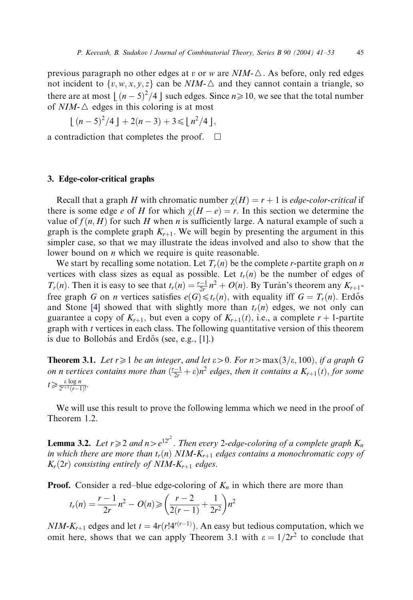previous paragraph no other edges at v or w are  $NIM - \triangle$ . As before, only red edges not incident to  $\{v, w, x, y, z\}$  can be NIM- $\triangle$  and they cannot contain a triangle, so there are at most  $\lfloor (n-5)^2/4 \rfloor$  such edges. Since  $n \ge 10$ , we see that the total number<br>of NIM- $\land$  edges in this coloring is at most of  $NIM - \triangle$  edges in this coloring is at most

$$
\lfloor (n-5)^2/4 \rfloor + 2(n-3) + 3 \le \lfloor n^2/4 \rfloor,
$$

a contradiction that completes the proof.  $\Box$ 

## 3. Edge-color-critical graphs

Recall that a graph H with chromatic number  $\gamma(H) = r + 1$  is *edge-color-critical* if there is some edge e of H for which  $\chi(H - e) = r$ . In this section we determine the value of  $f(n, H)$  for such H when n is sufficiently large. A natural example of such a graph is the complete graph  $K_{r+1}$ . We will begin by presenting the argument in this simpler case, so that we may illustrate the ideas involved and also to show that the lower bound on *n* which we require is quite reasonable.

We start by recalling some notation. Let  $T_r(n)$  be the complete r-partite graph on n vertices with class sizes as equal as possible. Let  $t_r(n)$  be the number of edges of  $T_r(n)$ . Then it is easy to see that  $t_r(n) = \frac{r-1}{2r}n^2 + O(n)$ . By Turán's theorem any  $K_{r+1}$ free graph G on *n* vertices satisfies  $e(G) \leq t_r(n)$ , with equality iff  $G = T_r(n)$ . Erdős and Stone [\[4\]](#page-12-0) showed that with slightly more than  $t_r(n)$  edges, we not only can guarantee a copy of  $K_{r+1}$ , but even a copy of  $K_{r+1}(t)$ , i.e., a complete  $r + 1$ -partite graph with  $t$  vertices in each class. The following quantitative version of this theorem is due to Bollobás and Erdős (see, e.g.,  $[1]$ .)

**Theorem 3.1.** Let  $r \geq 1$  be an integer, and let  $\varepsilon > 0$ . For  $n > \max(3/\varepsilon, 100)$ , if a graph G on n vertices contains more than  $\left(\frac{r-1}{2r} + \varepsilon\right)n^2$  edges, then it contains a  $K_{r+1}(t)$ , for some  $t \geqslant \frac{\varepsilon \log n}{2^{r+1}(r-1)!}.$ 

We will use this result to prove the following lemma which we need in the proof of Theorem 1.2.

**Lemma 3.2.** Let  $r \ge 2$  and  $n>e^{12r^2}$ . Then every 2-edge-coloring of a complete graph  $K_n$ in which there are more than  $t_r(n)$  NIM- $K_{r+1}$  edges contains a monochromatic copy of  $K_r(2r)$  consisting entirely of NIM- $K_{r+1}$  edges.

**Proof.** Consider a red–blue edge-coloring of  $K_n$  in which there are more than

$$
t_r(n) = \frac{r-1}{2r}n^2 - O(n) \geqslant \left(\frac{r-2}{2(r-1)} + \frac{1}{2r^2}\right)n^2
$$

 $NIM - K_{r+1}$  edges and let  $t = 4r(r!4^{r(r-1)})$ . An easy but tedious computation, which we omit here, shows that we can apply Theorem 3.1 with  $\varepsilon = 1/2r^2$  to conclude that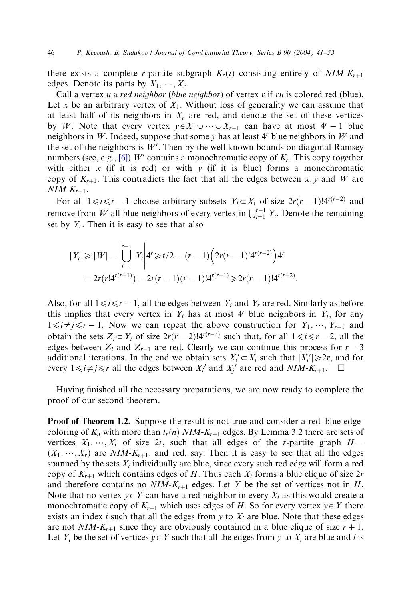there exists a complete r-partite subgraph  $K_r(t)$  consisting entirely of  $NIM-K_{r+1}$ edges. Denote its parts by  $X_1, \cdots, X_r$ .

Call a vertex  $u$  a *red neighbor* (*blue neighbor*) of vertex  $v$  if  $vu$  is colored red (blue). Let x be an arbitrary vertex of  $X_1$ . Without loss of generality we can assume that at least half of its neighbors in  $X_r$  are red, and denote the set of these vertices by W. Note that every vertex  $y \in X_1 \cup \cdots \cup X_{r-1}$  can have at most  $4^r - 1$  blue neighbors in W. Indeed, suppose that some  $y$  has at least  $4<sup>r</sup>$  blue neighbors in W and the set of the neighbors is  $W'$ . Then by the well known bounds on diagonal Ramsey numbers (see, e.g., [\[6\]\)](#page-12-0) W' contains a monochromatic copy of  $K<sub>r</sub>$ . This copy together with either x (if it is red) or with y (if it is blue) forms a monochromatic copy of  $K_{r+1}$ . This contradicts the fact that all the edges between x, y and W are  $NIM-K_{r+1}$ .

For all  $1 \le i \le r - 1$  choose arbitrary subsets  $Y_i \subset X_i$  of size  $2r(r - 1)!4^{r(r-2)}$  and remove from W all blue neighbors of every vertex in  $\bigcup_{i=1}^{r-1} Y_i$ . Denote the remaining set by  $Y_r$ . Then it is easy to see that also

$$
|Y_r| \ge |W| - \left| \bigcup_{i=1}^{r-1} Y_i \right| 4^r \ge t/2 - (r-1) \left( 2r(r-1)! 4^{r(r-2)} \right) 4^r
$$
  
=  $2r(r! 4^{r(r-1)}) - 2r(r-1)(r-1)! 4^{r(r-1)} \ge 2r(r-1)! 4^{r(r-2)}.$ 

Also, for all  $1 \le i \le r - 1$ , all the edges between  $Y_i$  and  $Y_r$  are red. Similarly as before this implies that every vertex in  $Y_i$  has at most 4<sup>r</sup> blue neighbors in  $Y_i$ , for any  $1 \le i \ne j \le r - 1$ . Now we can repeat the above construction for  $Y_1, \dots, Y_{r-1}$  and obtain the sets  $Z_i \subset Y_i$  of size  $2r(r-2)!4^{r(r-3)}$  such that, for all  $1 \le i \le r-2$ , all the edges between  $Z_i$  and  $Z_{r-1}$  are red. Clearly we can continue this process for  $r-3$ additional iterations. In the end we obtain sets  $X_i' \subset X_i$  such that  $|X_i'| \ge 2r$ , and for every  $1 \le i \ne j \le r$  all the edges between  $X_i'$  and  $X_j'$  are red and  $NIM-K_{r+1}$ .  $\Box$ 

Having finished all the necessary preparations, we are now ready to complete the proof of our second theorem.

**Proof of Theorem 1.2.** Suppose the result is not true and consider a red–blue edgecoloring of  $K_n$  with more than  $t_r(n)$  NIM- $K_{r+1}$  edges. By Lemma 3.2 there are sets of vertices  $X_1, \dots, X_r$  of size 2r, such that all edges of the r-partite graph  $H =$  $(X_1, \dots, X_r)$  are NIM-K<sub>r+1</sub>, and red, say. Then it is easy to see that all the edges spanned by the sets  $X_i$  individually are blue, since every such red edge will form a red copy of  $K_{r+1}$  which contains edges of H. Thus each  $X_i$  forms a blue clique of size 2r and therefore contains no  $NIM-K_{r+1}$  edges. Let Y be the set of vertices not in H. Note that no vertex  $y \in Y$  can have a red neighbor in every  $X_i$  as this would create a monochromatic copy of  $K_{r+1}$  which uses edges of H. So for every vertex  $y \in Y$  there exists an index *i* such that all the edges from *y* to  $X_i$  are blue. Note that these edges are not  $NIM-K_{r+1}$  since they are obviously contained in a blue clique of size  $r + 1$ . Let  $Y_i$  be the set of vertices  $y \in Y$  such that all the edges from y to  $X_i$  are blue and i is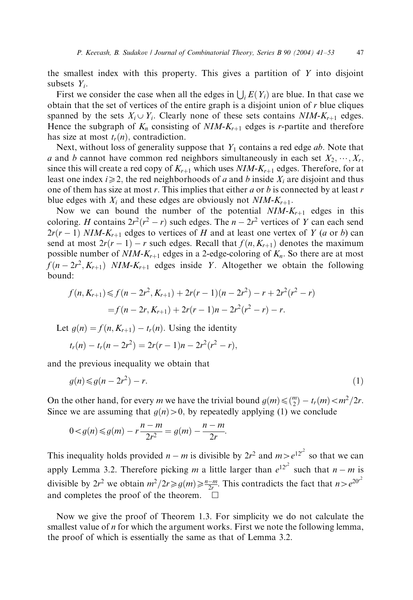the smallest index with this property. This gives a partition of  $Y$  into disjoint subsets  $Y_i$ .

First we consider the case when all the edges in  $\bigcup_i E(Y_i)$  are blue. In that case we obtain that the set of vertices of the entire graph is a disjoint union of  $r$  blue cliques spanned by the sets  $X_i \cup Y_i$ . Clearly none of these sets contains  $NIM-K_{r+1}$  edges. Hence the subgraph of  $K_n$  consisting of  $NIM-K_{r+1}$  edges is r-partite and therefore has size at most  $t_r(n)$ , contradiction.

Next, without loss of generality suppose that  $Y_1$  contains a red edge ab. Note that a and b cannot have common red neighbors simultaneously in each set  $X_2, \dots, X_r$ ; since this will create a red copy of  $K_{r+1}$  which uses  $NIM-K_{r+1}$  edges. Therefore, for at least one index  $i\geqslant 2$ , the red neighborhoods of a and b inside  $X_i$  are disjoint and thus one of them has size at most  $r$ . This implies that either  $a$  or  $b$  is connected by at least  $r$ blue edges with  $X_i$  and these edges are obviously not  $NIM-K_{r+1}$ .

Now we can bound the number of the potential  $NIM-K_{r+1}$  edges in this coloring. H contains  $2r^2(r^2 - r)$  such edges. The  $n - 2r^2$  vertices of Y can each send  $2r(r-1)$  NIM-K<sub>r+1</sub> edges to vertices of H and at least one vertex of Y (a or b) can send at most  $2r(r-1) - r$  such edges. Recall that  $f(n, K_{r+1})$  denotes the maximum possible number of  $NIM-K_{r+1}$  edges in a 2-edge-coloring of  $K_n$ . So there are at most  $f(n - 2r^2, K_{r+1})$  NIM-K<sub>r+1</sub> edges inside Y. Altogether we obtain the following bound:

$$
f(n, K_{r+1}) \le f(n - 2r^2, K_{r+1}) + 2r(r - 1)(n - 2r^2) - r + 2r^2(r^2 - r)
$$
  
=  $f(n - 2r, K_{r+1}) + 2r(r - 1)n - 2r^2(r^2 - r) - r.$ 

Let  $q(n) = f(n, K_{r+1}) - t_r(n)$ . Using the identity

$$
t_r(n) - t_r(n-2r^2) = 2r(r-1)n - 2r^2(r^2 - r),
$$

and the previous inequality we obtain that

$$
g(n) \leq g(n - 2r^2) - r.\tag{1}
$$

On the other hand, for every *m* we have the trivial bound  $g(m) \leq \binom{m}{2} - t_r(m) < m^2/2r$ . Since we are assuming that  $q(n) > 0$ , by repeatedly applying (1) we conclude

$$
0 < g(n) \le g(m) - r\frac{n-m}{2r^2} = g(m) - \frac{n-m}{2r}.
$$

This inequality holds provided  $n - m$  is divisible by  $2r^2$  and  $m > e^{12r^2}$  so that we can apply Lemma 3.2. Therefore picking m a little larger than  $e^{12r^2}$  such that  $n-m$  is divisible by  $2r^2$  we obtain  $m^2/2r \ge g(m) \ge \frac{n-m}{2r}$ . This contradicts the fact that  $n>e^{20r^2}$ and completes the proof of the theorem.  $\Box$ 

Now we give the proof of Theorem 1.3. For simplicity we do not calculate the smallest value of  $n$  for which the argument works. First we note the following lemma, the proof of which is essentially the same as that of Lemma 3.2.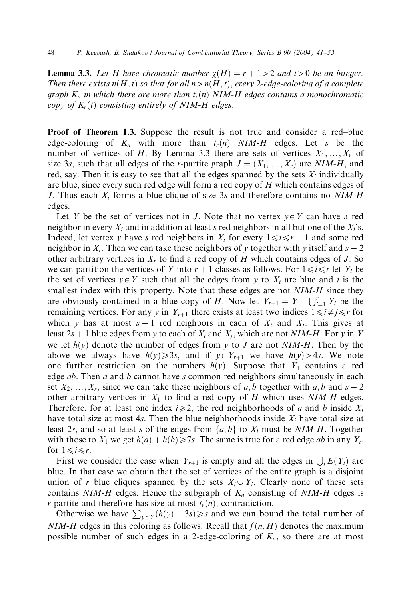**Lemma 3.3.** Let H have chromatic number  $\chi(H) = r + 1 > 2$  and t > 0 be an integer. Then there exists  $n(H, t)$  so that for all  $n > n(H, t)$ , every 2-edge-coloring of a complete graph  $K_n$  in which there are more than  $t_r(n)$  NIM-H edges contains a monochromatic copy of  $K_r(t)$  consisting entirely of NIM-H edges.

**Proof of Theorem 1.3.** Suppose the result is not true and consider a red–blue edge-coloring of  $K_n$  with more than  $t_r(n)$  NIM-H edges. Let s be the number of vertices of H. By Lemma 3.3 there are sets of vertices  $X_1, \ldots, X_r$  of size 3s, such that all edges of the r-partite graph  $J = (X_1, \ldots, X_r)$  are NIM-H, and red, say. Then it is easy to see that all the edges spanned by the sets  $X_i$  individually are blue, since every such red edge will form a red copy of H which contains edges of J. Thus each  $X_i$  forms a blue clique of size 3s and therefore contains no NIM-H edges.

Let Y be the set of vertices not in J. Note that no vertex  $y \in Y$  can have a red neighbor in every  $X_i$  and in addition at least s red neighbors in all but one of the  $X_i$ 's. Indeed, let vertex y have s red neighbors in  $X_i$  for every  $1 \le i \le r - 1$  and some red neighbor in  $X_r$ . Then we can take these neighbors of y together with y itself and  $s - 2$ other arbitrary vertices in  $X<sub>r</sub>$  to find a red copy of H which contains edges of J. So we can partition the vertices of Y into  $r + 1$  classes as follows. For  $1 \le i \le r$  let Y<sub>i</sub> be the set of vertices  $y \in Y$  such that all the edges from y to  $X_i$  are blue and i is the smallest index with this property. Note that these edges are not NIM-H since they are obviously contained in a blue copy of H. Now let  $Y_{r+1} = Y - \bigcup_{i=1}^{r} Y_i$  be the remaining vertices. For any y in  $Y_{r+1}$  there exists at least two indices  $1 \leq i \neq j \leq r$  for which y has at most  $s - 1$  red neighbors in each of  $X_i$  and  $X_i$ . This gives at least  $2s + 1$  blue edges from y to each of  $X_i$  and  $X_j$ , which are not NIM-H. For y in Y we let  $h(y)$  denote the number of edges from y to J are not NIM-H. Then by the above we always have  $h(y) \ge 3s$ , and if  $y \in Y_{r+1}$  we have  $h(y) > 4s$ . We note one further restriction on the numbers  $h(y)$ . Suppose that  $Y_1$  contains a red edge  $ab$ . Then  $a$  and  $b$  cannot have s common red neighbors simultaneously in each set  $X_2, \ldots, X_r$ , since we can take these neighbors of a, b together with a, b and  $s - 2$ other arbitrary vertices in  $X_1$  to find a red copy of H which uses NIM-H edges. Therefore, for at least one index  $i\geq 2$ , the red neighborhoods of a and b inside  $X_i$ have total size at most 4s. Then the blue neighborhoods inside  $X_i$  have total size at least 2s, and so at least s of the edges from  $\{a, b\}$  to  $X_i$  must be NIM-H. Together with those to  $X_1$  we get  $h(a) + h(b) \ge 7s$ . The same is true for a red edge *ab* in any  $Y_i$ , for  $1 \le i \le r$ .

First we consider the case when  $Y_{r+1}$  is empty and all the edges in  $\bigcup_i E(Y_i)$  are blue. In that case we obtain that the set of vertices of the entire graph is a disjoint union of r blue cliques spanned by the sets  $X_i \cup Y_i$ . Clearly none of these sets contains NIM-H edges. Hence the subgraph of  $K_n$  consisting of NIM-H edges is *r*-partite and therefore has size at most  $t_r(n)$ , contradiction.

Otherwise we have  $\sum_{y \in Y} (h(y) - 3s) \geq s$  and we can bound the total number of  $NIM-H$  edges in this coloring as follows. Recall that  $f(n, H)$  denotes the maximum possible number of such edges in a 2-edge-coloring of  $K_n$ , so there are at most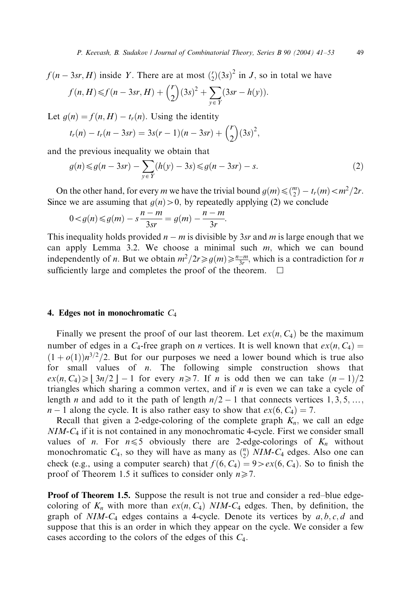$f(n-3sr, H)$  inside Y. There are at most  $\binom{r}{2}(3s)^2$  in J, so in total we have  $f(n, H) \leq f(n - 3sr, H) + {r \choose 2} (3s)^2 + \sum (3sr - h(y)).$ 

$$
f(n, H) \leq f(n - 3sr, H) + \binom{2}{3^{5r}} + \sum_{y \in Y} (3sr - h(y))
$$

Let  $g(n) = f(n, H) - t_r(n)$ . Using the identity

$$
t_r(n) - t_r(n - 3sr) = 3s(r - 1)(n - 3sr) + {r \choose 2} (3s)^2,
$$

and the previous inequality we obtain that

$$
g(n) \le g(n - 3sr) - \sum_{y \in Y} (h(y) - 3s) \le g(n - 3sr) - s.
$$
 (2)

On the other hand, for every *m* we have the trivial bound  $g(m) \leq \binom{m}{2} - t_r(m) < m^2/2r$ . Since we are assuming that  $g(n) > 0$ , by repeatedly applying (2) we conclude

$$
0 < g(n) \le g(m) - s \frac{n-m}{3sr} = g(m) - \frac{n-m}{3r}.
$$

This inequality holds provided  $n - m$  is divisible by 3sr and m is large enough that we can apply Lemma 3.2. We choose a minimal such  $m$ , which we can bound independently of *n*. But we obtain  $m^2/2r \ge g(m) \ge \frac{n-m}{3r}$ , which is a contradiction for *n* sufficiently large and completes the proof of the theorem.  $\Box$ 

### 4. Edges not in monochromatic  $C_4$

Finally we present the proof of our last theorem. Let  $ex(n, C_4)$  be the maximum number of edges in a  $C_4$ -free graph on *n* vertices. It is well known that  $ex(n, C_4)$  =  $(1 + o(1))n^{3/2}/2$ . But for our purposes we need a lower bound which is true also for small values of  $n$ . The following simple construction shows that  $ex(n, C_4) \geq |3n/2| - 1$  for every  $n \geq 7$ . If n is odd then we can take  $(n-1)/2$ triangles which sharing a common vertex, and if  $n$  is even we can take a cycle of length *n* and add to it the path of length  $n/2 - 1$  that connects vertices 1, 3, 5, ...  $n-1$  along the cycle. It is also rather easy to show that  $ex(6, C_4) = 7$ .

Recall that given a 2-edge-coloring of the complete graph  $K_n$ , we call an edge  $NIM-C_4$  if it is not contained in any monochromatic 4-cycle. First we consider small values of *n*. For  $n \le 5$  obviously there are 2-edge-colorings of  $K_n$  without monochromatic  $C_4$ , so they will have as many as  $\binom{n}{2}$  NIM-C<sub>4</sub> edges. Also one can check (e.g., using a computer search) that  $f(6, C_4) = 9 > ex(6, C_4)$ . So to finish the proof of Theorem 1.5 it suffices to consider only  $n \ge 7$ .

**Proof of Theorem 1.5.** Suppose the result is not true and consider a red–blue edgecoloring of  $K_n$  with more than  $ex(n, C_4)$  NIM-C<sub>4</sub> edges. Then, by definition, the graph of  $NIM-C_4$  edges contains a 4-cycle. Denote its vertices by  $a, b, c, d$  and suppose that this is an order in which they appear on the cycle. We consider a few cases according to the colors of the edges of this  $C_4$ .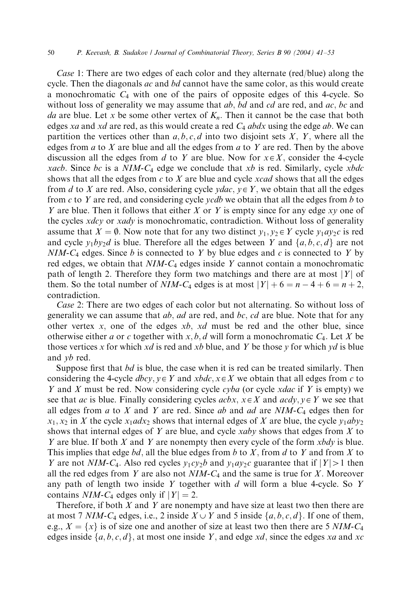Case 1: There are two edges of each color and they alternate (red/blue) along the cycle. Then the diagonals  $ac$  and  $bd$  cannot have the same color, as this would create a monochromatic  $C_4$  with one of the pairs of opposite edges of this 4-cycle. So without loss of generality we may assume that  $ab$ ,  $bd$  and  $cd$  are red, and  $ac$ ,  $bc$  and da are blue. Let x be some other vertex of  $K_n$ . Then it cannot be the case that both edges xa and xd are red, as this would create a red  $C_4$  abdx using the edge ab. We can partition the vertices other than  $a, b, c, d$  into two disjoint sets X, Y, where all the edges from  $a$  to  $X$  are blue and all the edges from  $a$  to  $Y$  are red. Then by the above discussion all the edges from d to Y are blue. Now for  $x \in X$ , consider the 4-cycle xacb. Since bc is a  $NIM-C_4$  edge we conclude that xb is red. Similarly, cycle xbdc shows that all the edges from  $c$  to  $X$  are blue and cycle *xcad* shows that all the edges from d to X are red. Also, considering cycle  $ydac, y \in Y$ , we obtain that all the edges from c to Y are red, and considering cycle *ycdb* we obtain that all the edges from b to Y are blue. Then it follows that either X or Y is empty since for any edge  $xy$  one of the cycles *xdcy* or *xady* is monochromatic, contradiction. Without loss of generality assume that  $X = \emptyset$ . Now note that for any two distinct  $y_1, y_2 \in Y$  cycle  $y_1ay_2c$  is red and cycle  $y_1by_2d$  is blue. Therefore all the edges between Y and  $\{a, b, c, d\}$  are not  $NIM-C_4$  edges. Since b is connected to Y by blue edges and c is connected to Y by red edges, we obtain that  $NIM-C_4$  edges inside Y cannot contain a monochromatic path of length 2. Therefore they form two matchings and there are at most |Y| of them. So the total number of NIM-C<sub>4</sub> edges is at most  $|Y| + 6 = n - 4 + 6 = n + 2$ ; contradiction.

Case 2: There are two edges of each color but not alternating. So without loss of generality we can assume that  $ab$ ,  $ad$  are red, and  $bc$ ,  $cd$  are blue. Note that for any other vertex  $x$ , one of the edges  $xb$ ,  $xd$  must be red and the other blue, since otherwise either a or c together with x, b, d will form a monochromatic  $C_4$ . Let X be those vertices x for which xd is red and xb blue, and Y be those y for which yd is blue and yb red.

Suppose first that  $bd$  is blue, the case when it is red can be treated similarly. Then considering the 4-cycle *dbcy*,  $y \in Y$  and  $xbdc$ ,  $x \in X$  we obtain that all edges from c to Y and X must be red. Now considering cycle  $cyba$  (or cycle xdac if Y is empty) we see that ac is blue. Finally considering cycles acbx,  $x \in X$  and acdy,  $y \in Y$  we see that all edges from a to X and Y are red. Since ab and ad are  $NIM-C_4$  edges then for  $x_1, x_2$  in X the cycle  $x_1$  adx<sub>2</sub> shows that internal edges of X are blue, the cycle  $y_1$  aby<sub>2</sub> shows that internal edges of  $Y$  are blue, and cycle xaby shows that edges from  $X$  to Y are blue. If both X and Y are nonempty then every cycle of the form  $x b dy$  is blue. This implies that edge bd, all the blue edges from b to X, from d to Y and from X to Y are not NIM-C<sub>4</sub>. Also red cycles  $y_1cy_2b$  and  $y_1ay_2c$  guarantee that if  $|Y|>1$  then all the red edges from Y are also not  $NIM-C_4$  and the same is true for X. Moreover any path of length two inside Y together with  $d$  will form a blue 4-cycle. So Y contains NIM-C<sub>4</sub> edges only if  $|Y| = 2$ .

Therefore, if both  $X$  and  $Y$  are nonempty and have size at least two then there are at most 7 NIM-C<sub>4</sub> edges, i.e., 2 inside  $X \cup Y$  and 5 inside  $\{a, b, c, d\}$ . If one of them, e.g.,  $X = \{x\}$  is of size one and another of size at least two then there are 5 NIM-C<sub>4</sub> edges inside  $\{a, b, c, d\}$ , at most one inside Y, and edge xd, since the edges xa and xc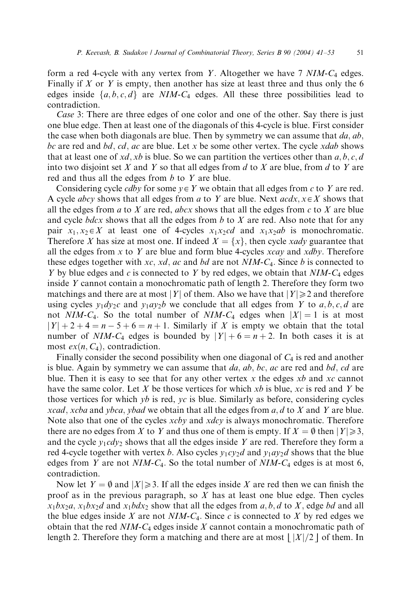form a red 4-cycle with any vertex from Y. Altogether we have  $7$  NIM- $C_4$  edges. Finally if  $X$  or  $Y$  is empty, then another has size at least three and thus only the 6 edges inside  $\{a, b, c, d\}$  are NIM-C<sub>4</sub> edges. All these three possibilities lead to contradiction.

Case 3: There are three edges of one color and one of the other. Say there is just one blue edge. Then at least one of the diagonals of this 4-cycle is blue. First consider the case when both diagonals are blue. Then by symmetry we can assume that  $da$ ,  $ab$ , bc are red and bd, cd, ac are blue. Let x be some other vertex. The cycle  $x$ dab shows that at least one of xd, xb is blue. So we can partition the vertices other than  $a, b, c, d$ into two disjoint set X and Y so that all edges from  $d$  to X are blue, from  $d$  to Y are red and thus all the edges from  $b$  to  $Y$  are blue.

Considering cycle *cdby* for some  $y \in Y$  we obtain that all edges from c to Y are red. A cycle *abcy* shows that all edges from a to Y are blue. Next  $acdx$ ,  $x \in X$  shows that all the edges from a to X are red, abcx shows that all the edges from  $c$  to X are blue and cycle  $bdcx$  shows that all the edges from b to X are red. Also note that for any pair  $x_1, x_2 \in X$  at least one of 4-cycles  $x_1x_2cd$  and  $x_1x_2ab$  is monochromatic. Therefore X has size at most one. If indeed  $X = \{x\}$ , then cycle xady guarantee that all the edges from x to Y are blue and form blue 4-cycles  $xcay$  and  $xdby$ . Therefore these edges together with xc, xd, ac and bd are not  $NIM-C_4$ . Since b is connected to Y by blue edges and  $c$  is connected to Y by red edges, we obtain that  $NIM-C_4$  edges inside Y cannot contain a monochromatic path of length 2. Therefore they form two matchings and there are at most |Y| of them. Also we have that  $|Y| \ge 2$  and therefore using cycles  $y_1 dy_2 c$  and  $y_1 ay_2 b$  we conclude that all edges from Y to a, b, c, d are not NIM-C<sub>4</sub>. So the total number of NIM-C<sub>4</sub> edges when  $|X| = 1$  is at most  $|Y| + 2 + 4 = n - 5 + 6 = n + 1$ . Similarly if X is empty we obtain that the total number of NIM-C<sub>4</sub> edges is bounded by  $|Y| + 6 = n + 2$ . In both cases it is at most  $ex(n, C_4)$ , contradiction.

Finally consider the second possibility when one diagonal of  $C_4$  is red and another is blue. Again by symmetry we can assume that  $da$ ,  $ab$ ,  $bc$ ,  $ac$  are red and  $bd$ ,  $cd$  are blue. Then it is easy to see that for any other vertex x the edges  $xb$  and  $xc$  cannot have the same color. Let X be those vertices for which  $xb$  is blue,  $xc$  is red and Y be those vertices for which  $yb$  is red,  $yc$  is blue. Similarly as before, considering cycles *xcad*, *xcba* and *ybca*, *ybad* we obtain that all the edges from  $a$ ,  $d$  to  $X$  and  $Y$  are blue. Note also that one of the cycles *xcby* and *xdcy* is always monochromatic. Therefore there are no edges from X to Y and thus one of them is empty. If  $X = \emptyset$  then  $|Y| \ge 3$ , and the cycle  $y_1cdy_2$  shows that all the edges inside Y are red. Therefore they form a red 4-cycle together with vertex b. Also cycles  $y_1cy_2d$  and  $y_1ay_2d$  shows that the blue edges from Y are not  $NIM-C_4$ . So the total number of  $NIM-C_4$  edges is at most 6, contradiction.

Now let  $Y = \emptyset$  and  $|X| \ge 3$ . If all the edges inside X are red then we can finish the proof as in the previous paragraph, so  $X$  has at least one blue edge. Then cycles  $x_1bx_2a$ ,  $x_1bx_2d$  and  $x_1bdx_2$  show that all the edges from a, b, d to X, edge bd and all the blue edges inside X are not  $NIM-C_4$ . Since c is connected to X by red edges we obtain that the red  $NIM-C_4$  edges inside X cannot contain a monochromatic path of length 2. Therefore they form a matching and there are at most  $|X|/2$  of them. In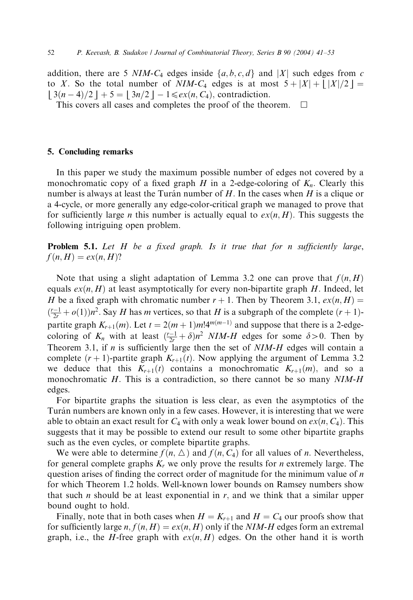addition, there are 5 NIM-C<sub>4</sub> edges inside  $\{a, b, c, d\}$  and |X| such edges from c to X. So the total number of NIM-C<sub>4</sub> edges is at most  $5 + |X| + |X|/2 =$  $13(n-4)/2$  | + 5 = |  $3n/2$  | - 1  $\leq e^{x(n, C_4)}$ , contradiction.

This covers all cases and completes the proof of the theorem.  $\Box$ 

#### 5. Concluding remarks

In this paper we study the maximum possible number of edges not covered by a monochromatic copy of a fixed graph H in a 2-edge-coloring of  $K_n$ . Clearly this number is always at least the Turán number of  $H$ . In the cases when  $H$  is a clique or a 4-cycle, or more generally any edge-color-critical graph we managed to prove that for sufficiently large *n* this number is actually equal to  $ex(n, H)$ . This suggests the following intriguing open problem.

**Problem 5.1.** Let  $H$  be a fixed graph. Is it true that for n sufficiently large,  $f(n, H) = ex(n, H)$ ?

Note that using a slight adaptation of Lemma 3.2 one can prove that  $f(n, H)$ equals  $ex(n, H)$  at least asymptotically for every non-bipartite graph H. Indeed, let H be a fixed graph with chromatic number  $r + 1$ . Then by Theorem 3.1,  $ex(n, H) =$  $\left(\frac{r-1}{2r} + o(1)\right)n^2$ . Say *H* has *m* vertices, so that *H* is a subgraph of the complete  $(r + 1)$ partite graph  $K_{r+1}(m)$ . Let  $t = 2(m+1)m!4^{m(m-1)}$  and suppose that there is a 2-edgecoloring of  $K_n$  with at least  $\left(\frac{r-1}{2r} + \delta\right)n^2$  NIM-H edges for some  $\delta > 0$ . Then by Theorem 3.1, if  $n$  is sufficiently large then the set of  $NIM-H$  edges will contain a complete  $(r + 1)$ -partite graph  $K_{r+1}(t)$ . Now applying the argument of Lemma 3.2 we deduce that this  $K_{r+1}(t)$  contains a monochromatic  $K_{r+1}(m)$ , and so a monochromatic  $H$ . This is a contradiction, so there cannot be so many  $NIM-H$ edges.

For bipartite graphs the situation is less clear, as even the asymptotics of the Turán numbers are known only in a few cases. However, it is interesting that we were able to obtain an exact result for  $C_4$  with only a weak lower bound on  $ex(n, C_4)$ . This suggests that it may be possible to extend our result to some other bipartite graphs such as the even cycles, or complete bipartite graphs.

We were able to determine  $f(n, \triangle)$  and  $f(n, C_4)$  for all values of n. Nevertheless, for general complete graphs  $K_r$  we only prove the results for *n* extremely large. The question arises of finding the correct order of magnitude for the minimum value of  $n$ for which Theorem 1.2 holds. Well-known lower bounds on Ramsey numbers show that such *n* should be at least exponential in  $r$ , and we think that a similar upper bound ought to hold.

Finally, note that in both cases when  $H = K_{r+1}$  and  $H = C_4$  our proofs show that for sufficiently large n,  $f(n, H) = ex(n, H)$  only if the NIM-H edges form an extremal graph, i.e., the H-free graph with  $ex(n, H)$  edges. On the other hand it is worth